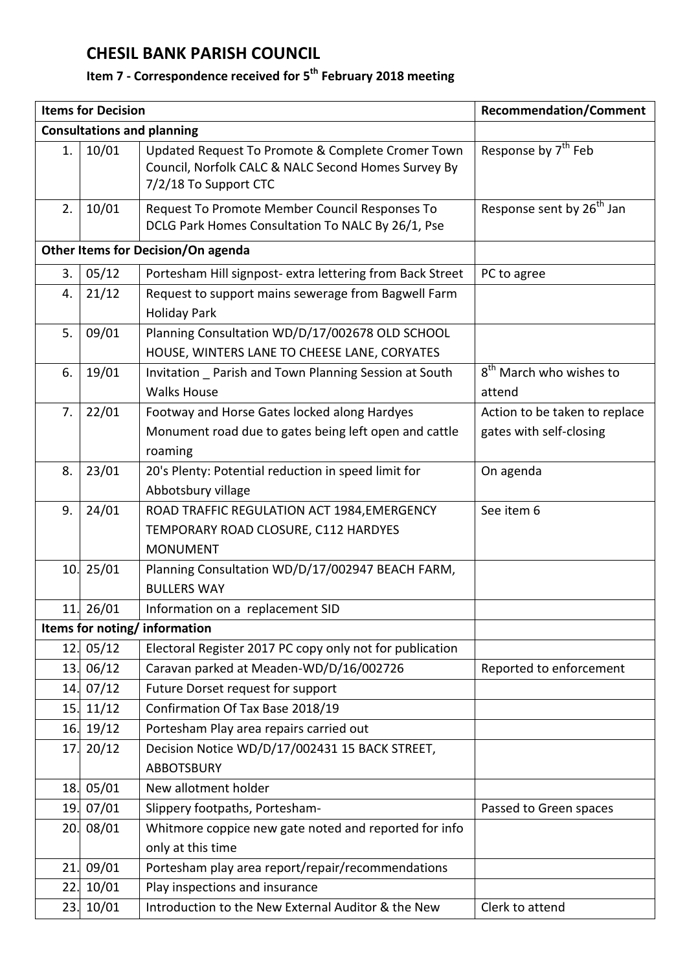## **CHESIL BANK PARISH COUNCIL**

## **Item 7 - Correspondence received for 5 th February 2018 meeting**

|                                    | <b>Items for Decision</b> | <b>Recommendation/Comment</b>                                                                                                     |                                                          |  |  |
|------------------------------------|---------------------------|-----------------------------------------------------------------------------------------------------------------------------------|----------------------------------------------------------|--|--|
|                                    |                           | <b>Consultations and planning</b>                                                                                                 |                                                          |  |  |
| 1.                                 | 10/01                     | Updated Request To Promote & Complete Cromer Town<br>Council, Norfolk CALC & NALC Second Homes Survey By<br>7/2/18 To Support CTC | Response by 7 <sup>th</sup> Feb                          |  |  |
| 2.                                 | 10/01                     | Request To Promote Member Council Responses To<br>DCLG Park Homes Consultation To NALC By 26/1, Pse                               | Response sent by 26 <sup>th</sup> Jan                    |  |  |
| Other Items for Decision/On agenda |                           |                                                                                                                                   |                                                          |  |  |
| 3.                                 | 05/12                     | Portesham Hill signpost- extra lettering from Back Street                                                                         | PC to agree                                              |  |  |
| 4.                                 | 21/12                     | Request to support mains sewerage from Bagwell Farm<br><b>Holiday Park</b>                                                        |                                                          |  |  |
| 5.                                 | 09/01                     | Planning Consultation WD/D/17/002678 OLD SCHOOL<br>HOUSE, WINTERS LANE TO CHEESE LANE, CORYATES                                   |                                                          |  |  |
| 6.                                 | 19/01                     | Invitation _ Parish and Town Planning Session at South<br><b>Walks House</b>                                                      | 8 <sup>th</sup> March who wishes to<br>attend            |  |  |
| 7.                                 | 22/01                     | Footway and Horse Gates locked along Hardyes<br>Monument road due to gates being left open and cattle<br>roaming                  | Action to be taken to replace<br>gates with self-closing |  |  |
| 8.                                 | 23/01                     | 20's Plenty: Potential reduction in speed limit for<br>Abbotsbury village                                                         | On agenda                                                |  |  |
| 9.                                 | 24/01                     | ROAD TRAFFIC REGULATION ACT 1984, EMERGENCY<br>TEMPORARY ROAD CLOSURE, C112 HARDYES<br><b>MONUMENT</b>                            | See item 6                                               |  |  |
|                                    | 10.25/01                  | Planning Consultation WD/D/17/002947 BEACH FARM,<br><b>BULLERS WAY</b>                                                            |                                                          |  |  |
| 11.                                | 26/01                     | Information on a replacement SID                                                                                                  |                                                          |  |  |
| Items for noting/information       |                           |                                                                                                                                   |                                                          |  |  |
| 12.                                | 05/12                     | Electoral Register 2017 PC copy only not for publication                                                                          |                                                          |  |  |
| 13.                                | 06/12                     | Caravan parked at Meaden-WD/D/16/002726                                                                                           | Reported to enforcement                                  |  |  |
| 14.                                | 07/12                     | Future Dorset request for support                                                                                                 |                                                          |  |  |
| 15.                                | 11/12                     | Confirmation Of Tax Base 2018/19                                                                                                  |                                                          |  |  |
| 16.                                | 19/12                     | Portesham Play area repairs carried out                                                                                           |                                                          |  |  |
| 17.                                | 20/12                     | Decision Notice WD/D/17/002431 15 BACK STREET,<br><b>ABBOTSBURY</b>                                                               |                                                          |  |  |
| 18.                                | 05/01                     | New allotment holder                                                                                                              |                                                          |  |  |
| 19.                                | 07/01                     | Slippery footpaths, Portesham-                                                                                                    | Passed to Green spaces                                   |  |  |
| 20.                                | 08/01                     | Whitmore coppice new gate noted and reported for info<br>only at this time                                                        |                                                          |  |  |
| 21.                                | 09/01                     | Portesham play area report/repair/recommendations                                                                                 |                                                          |  |  |
| 22.                                | 10/01                     | Play inspections and insurance                                                                                                    |                                                          |  |  |
| 23.                                | 10/01                     | Introduction to the New External Auditor & the New                                                                                | Clerk to attend                                          |  |  |